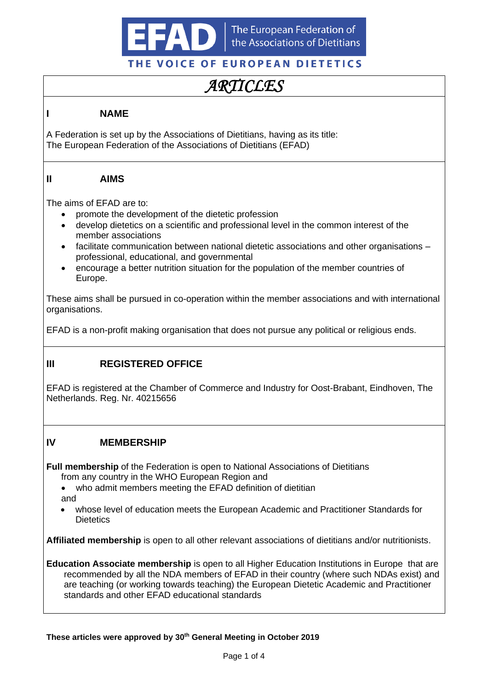

# *ARTICLES*

### **I NAME**

A Federation is set up by the Associations of Dietitians, having as its title: The European Federation of the Associations of Dietitians (EFAD)

#### **II AIMS**

The aims of EFAD are to:

- promote the development of the dietetic profession
- develop dietetics on a scientific and professional level in the common interest of the member associations
- facilitate communication between national dietetic associations and other organisations professional, educational, and governmental
- encourage a better nutrition situation for the population of the member countries of Europe.

These aims shall be pursued in co-operation within the member associations and with international organisations.

EFAD is a non-profit making organisation that does not pursue any political or religious ends.

# **III REGISTERED OFFICE**

EFAD is registered at the Chamber of Commerce and Industry for Oost-Brabant, Eindhoven, The Netherlands. Reg. Nr. 40215656

#### **IV MEMBERSHIP**

**Full membership** of the Federation is open to National Associations of Dietitians from any country in the WHO European Region and

- who admit members meeting the EFAD definition of dietitian and
- whose level of education meets the European Academic and Practitioner Standards for **Dietetics**

**Affiliated membership** is open to all other relevant associations of dietitians and/or nutritionists.

**Education Associate membership** is open to all Higher Education Institutions in Europe that are recommended by all the NDA members of EFAD in their country (where such NDAs exist) and are teaching (or working towards teaching) the European Dietetic Academic and Practitioner standards and other EFAD educational standards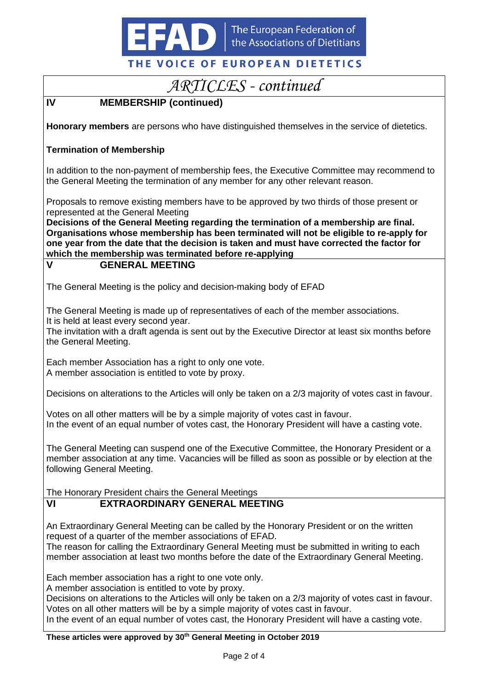

# *ARTICLES - continued*

# **IV MEMBERSHIP (continued)**

**Honorary members** are persons who have distinguished themselves in the service of dietetics.

#### **Termination of Membership**

In addition to the non-payment of membership fees, the Executive Committee may recommend to the General Meeting the termination of any member for any other relevant reason.

Proposals to remove existing members have to be approved by two thirds of those present or represented at the General Meeting

**Decisions of the General Meeting regarding the termination of a membership are final. Organisations whose membership has been terminated will not be eligible to re-apply for one year from the date that the decision is taken and must have corrected the factor for which the membership was terminated before re-applying**

### **V GENERAL MEETING**

The General Meeting is the policy and decision-making body of EFAD

The General Meeting is made up of representatives of each of the member associations. It is held at least every second year.

The invitation with a draft agenda is sent out by the Executive Director at least six months before the General Meeting.

Each member Association has a right to only one vote. A member association is entitled to vote by proxy.

Decisions on alterations to the Articles will only be taken on a 2/3 majority of votes cast in favour.

Votes on all other matters will be by a simple majority of votes cast in favour. In the event of an equal number of votes cast, the Honorary President will have a casting vote.

The General Meeting can suspend one of the Executive Committee, the Honorary President or a member association at any time. Vacancies will be filled as soon as possible or by election at the following General Meeting.

The Honorary President chairs the General Meetings

# **VI EXTRAORDINARY GENERAL MEETING**

An Extraordinary General Meeting can be called by the Honorary President or on the written request of a quarter of the member associations of EFAD.

The reason for calling the Extraordinary General Meeting must be submitted in writing to each member association at least two months before the date of the Extraordinary General Meeting.

Each member association has a right to one vote only.

A member association is entitled to vote by proxy.

Decisions on alterations to the Articles will only be taken on a 2/3 majority of votes cast in favour. Votes on all other matters will be by a simple majority of votes cast in favour.

In the event of an equal number of votes cast, the Honorary President will have a casting vote.

#### **These articles were approved by 30th General Meeting in October 2019**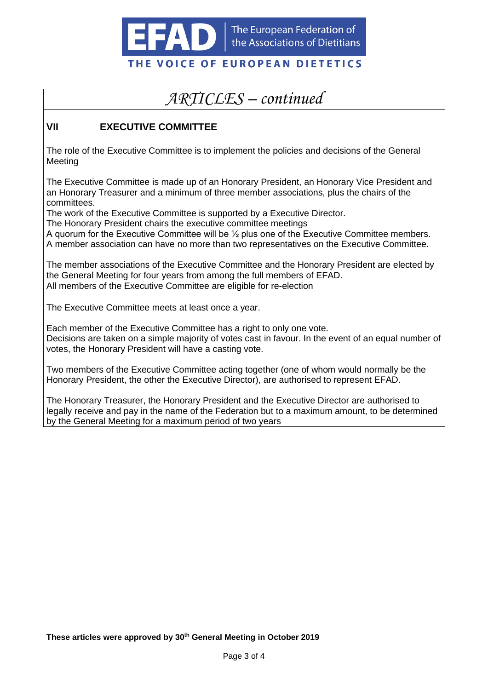

# *ARTICLES – continued*

## **VII EXECUTIVE COMMITTEE**

The role of the Executive Committee is to implement the policies and decisions of the General Meeting

The Executive Committee is made up of an Honorary President, an Honorary Vice President and an Honorary Treasurer and a minimum of three member associations, plus the chairs of the committees.

The work of the Executive Committee is supported by a Executive Director.

The Honorary President chairs the executive committee meetings

A quorum for the Executive Committee will be ½ plus one of the Executive Committee members. A member association can have no more than two representatives on the Executive Committee.

The member associations of the Executive Committee and the Honorary President are elected by the General Meeting for four years from among the full members of EFAD. All members of the Executive Committee are eligible for re-election

The Executive Committee meets at least once a year.

Each member of the Executive Committee has a right to only one vote. Decisions are taken on a simple majority of votes cast in favour. In the event of an equal number of votes, the Honorary President will have a casting vote.

Two members of the Executive Committee acting together (one of whom would normally be the Honorary President, the other the Executive Director), are authorised to represent EFAD.

The Honorary Treasurer, the Honorary President and the Executive Director are authorised to legally receive and pay in the name of the Federation but to a maximum amount, to be determined by the General Meeting for a maximum period of two years